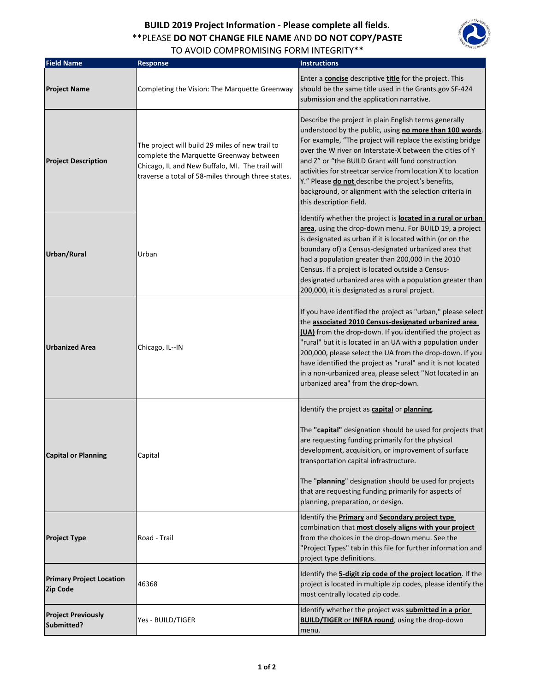## **BUILD 2019 Project Information - Please complete all fields.** \*\*PLEASE **DO NOT CHANGE FILE NAME** AND **DO NOT COPY/PASTE**  TO AVOID COMPROMISING FORM INTEGRITY\*\*



| <b>Field Name</b>                                  | <b>Response</b>                                                                                                                                                                                     | <b>Instructions</b>                                                                                                                                                                                                                                                                                                                                                                                                                                                                                         |
|----------------------------------------------------|-----------------------------------------------------------------------------------------------------------------------------------------------------------------------------------------------------|-------------------------------------------------------------------------------------------------------------------------------------------------------------------------------------------------------------------------------------------------------------------------------------------------------------------------------------------------------------------------------------------------------------------------------------------------------------------------------------------------------------|
| <b>Project Name</b>                                | Completing the Vision: The Marquette Greenway                                                                                                                                                       | Enter a concise descriptive title for the project. This<br>should be the same title used in the Grants.gov SF-424<br>submission and the application narrative.                                                                                                                                                                                                                                                                                                                                              |
| <b>Project Description</b>                         | The project will build 29 miles of new trail to<br>complete the Marquette Greenway between<br>Chicago, IL and New Buffalo, MI. The trail will<br>traverse a total of 58-miles through three states. | Describe the project in plain English terms generally<br>understood by the public, using no more than 100 words.<br>For example, "The project will replace the existing bridge<br>over the W river on Interstate-X between the cities of Y<br>and Z" or "the BUILD Grant will fund construction<br>activities for streetcar service from location X to location<br>Y." Please do not describe the project's benefits,<br>background, or alignment with the selection criteria in<br>this description field. |
| Urban/Rural                                        | Urban                                                                                                                                                                                               | Identify whether the project is <b>located in a rural or urban</b><br>area, using the drop-down menu. For BUILD 19, a project<br>is designated as urban if it is located within (or on the<br>boundary of) a Census-designated urbanized area that<br>had a population greater than 200,000 in the 2010<br>Census. If a project is located outside a Census-<br>designated urbanized area with a population greater than<br>200,000, it is designated as a rural project.                                   |
| <b>Urbanized Area</b>                              | Chicago, IL--IN                                                                                                                                                                                     | If you have identified the project as "urban," please select<br>the associated 2010 Census-designated urbanized area<br>(UA) from the drop-down. If you identified the project as<br>"rural" but it is located in an UA with a population under<br>200,000, please select the UA from the drop-down. If you<br>have identified the project as "rural" and it is not located<br>in a non-urbanized area, please select "Not located in an<br>urbanized area" from the drop-down.                             |
| <b>Capital or Planning</b>                         | Capital                                                                                                                                                                                             | Identify the project as capital or planning.<br>The "capital" designation should be used for projects that<br>are requesting funding primarily for the physical<br>development, acquisition, or improvement of surface<br>transportation capital infrastructure.<br>The "planning" designation should be used for projects<br>that are requesting funding primarily for aspects of<br>planning, preparation, or design.                                                                                     |
| <b>Project Type</b>                                | Road - Trail                                                                                                                                                                                        | Identify the <b>Primary</b> and <b>Secondary project type</b><br>combination that most closely aligns with your project<br>from the choices in the drop-down menu. See the<br>"Project Types" tab in this file for further information and<br>project type definitions.                                                                                                                                                                                                                                     |
| <b>Primary Project Location</b><br><b>Zip Code</b> | 46368                                                                                                                                                                                               | Identify the 5-digit zip code of the project location. If the<br>project is located in multiple zip codes, please identify the<br>most centrally located zip code.                                                                                                                                                                                                                                                                                                                                          |
| <b>Project Previously</b><br>Submitted?            | Yes - BUILD/TIGER                                                                                                                                                                                   | Identify whether the project was submitted in a prior<br><b>BUILD/TIGER or INFRA round</b> , using the drop-down<br>menu.                                                                                                                                                                                                                                                                                                                                                                                   |